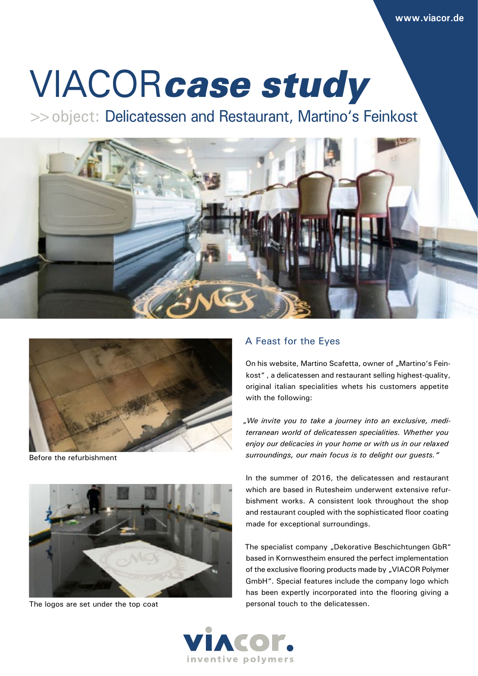# VIACOR*case study*

>>object: Delicatessen and Restaurant, Martino's Feinkost





Before the refurbishment



The logos are set under the top coat

## A Feast for the Eyes

On his website, Martino Scafetta, owner of "Martino's Feinkost" , a delicatessen and restaurant selling highest-quality, original italian specialities whets his customers appetite with the following:

"*We invite you to take a journey into an exclusive, mediterranean world of delicatessen specialities. Whether you enjoy our delicacies in your home or with us in our relaxed surroundings, our main focus is to delight our guests."*

In the summer of 2016, the delicatessen and restaurant which are based in Rutesheim underwent extensive refurbishment works. A consistent look throughout the shop and restaurant coupled with the sophisticated floor coating made for exceptional surroundings.

The specialist company "Dekorative Beschichtungen GbR" based in Kornwestheim ensured the perfect implementation of the exclusive flooring products made by "VIACOR Polymer GmbH". Special features include the company logo which has been expertly incorporated into the flooring giving a personal touch to the delicatessen.

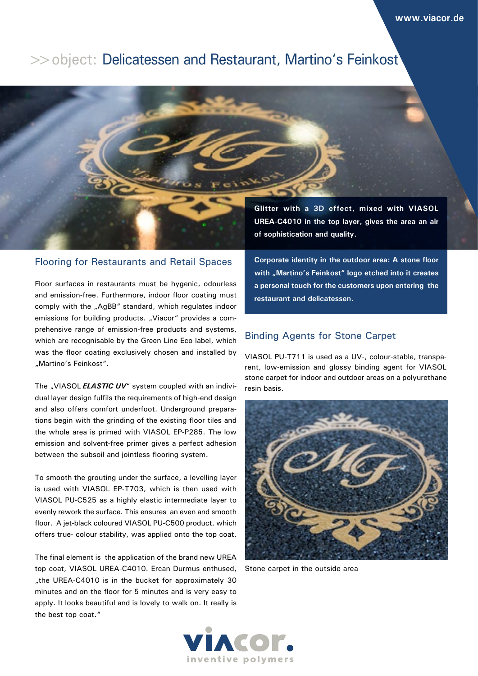## >>object: Delicatessen and Restaurant, Martino's Feinkost



## Flooring for Restaurants and Retail Spaces

Floor surfaces in restaurants must be hygenic, odourless and emission-free. Furthermore, indoor floor coating must comply with the "AgBB" standard, which regulates indoor emissions for building products. "Viacor" provides a comprehensive range of emission-free products and systems, which are recognisable by the Green Line Eco label, which was the floor coating exclusively chosen and installed by "Martino's Feinkost".

The "VIASOL **ELASTIC UV**" system coupled with an individual layer design fulfils the requirements of high-end design and also offers comfort underfoot. Underground preparations begin with the grinding of the existing floor tiles and the whole area is primed with VIASOL EP-P285. The low emission and solvent-free primer gives a perfect adhesion between the subsoil and jointless flooring system.

To smooth the grouting under the surface, a levelling layer is used with VIASOL EP-T703, which is then used with VIASOL PU-C525 as a highly elastic intermediate layer to evenly rework the surface. This ensures an even and smooth floor. A jet-black coloured VIASOL PU-C500 product, which offers true- colour stability, was applied onto the top coat.

The final element is the application of the brand new UREA top coat, VIASOL UREA-C4010. Ercan Durmus enthused, "the UREA-C4010 is in the bucket for approximately 30 minutes and on the floor for 5 minutes and is very easy to apply. It looks beautiful and is lovely to walk on. It really is the best top coat."

**Corporate identity in the outdoor area: A stone floor**  with "Martino's Feinkost" logo etched into it creates **a personal touch for the customers upon entering the restaurant and delicatessen.**

## Binding Agents for Stone Carpet

VIASOL PU-T711 is used as a UV-, colour-stable, transparent, low-emission and glossy binding agent for VIASOL stone carpet for indoor and outdoor areas on a polyurethane resin basis.



Stone carpet in the outside area

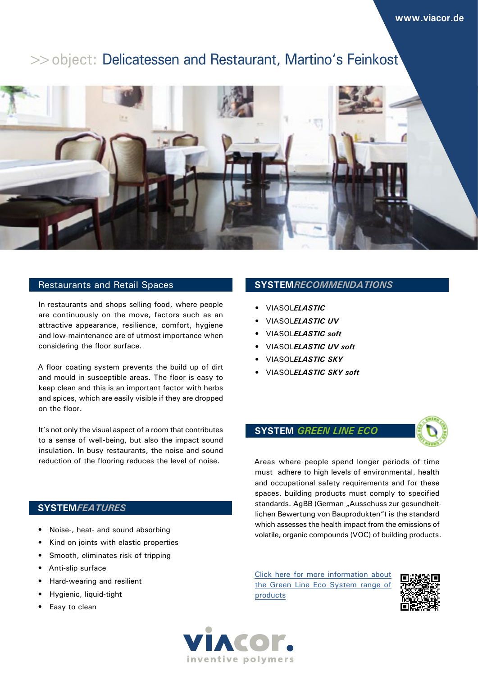## >>object: Delicatessen and Restaurant, Martino's Feinkost



## Restaurants and Retail Spaces

In restaurants and shops selling food, where people are continuously on the move, factors such as an attractive appearance, resilience, comfort, hygiene and low-maintenance are of utmost importance when considering the floor surface.

A floor coating system prevents the build up of dirt and mould in susceptible areas. The floor is easy to keep clean and this is an important factor with herbs and spices, which are easily visible if they are dropped on the floor.

It's not only the visual aspect of a room that contributes to a sense of well-being, but also the impact sound insulation. In busy restaurants, the noise and sound reduction of the flooring reduces the level of noise.

## **SYSTEM***FEATURES*

- Noise-, heat- and sound absorbing
- Kind on joints with elastic properties
- Smooth, eliminates risk of tripping
- Anti-slip surface
- Hard-wearing and resilient
- Hygienic, liquid-tight
- Easy to clean

#### **SYSTEM***RECOMMENDATIONS*

- VIASOL*ELASTIC*
- VIASOL*ELASTIC UV*
- VIASOL*ELASTIC soft*
- VIASOL*ELASTIC UV soft*
- VIASOL*ELASTIC SKY*
- VIASOL*ELASTIC SKY soft*

#### **SYSTEM** *GREEN LINE ECO*



Areas where people spend longer periods of time must adhere to high levels of environmental, health and occupational safety requirements and for these spaces, building products must comply to specified standards. AgBB (German "Ausschuss zur gesundheitlichen Bewertung von Bauprodukten") is the standard which assesses the health impact from the emissions of volatile, organic compounds (VOC) of building products.

Click here for more information about the Green Line Eco System range of products